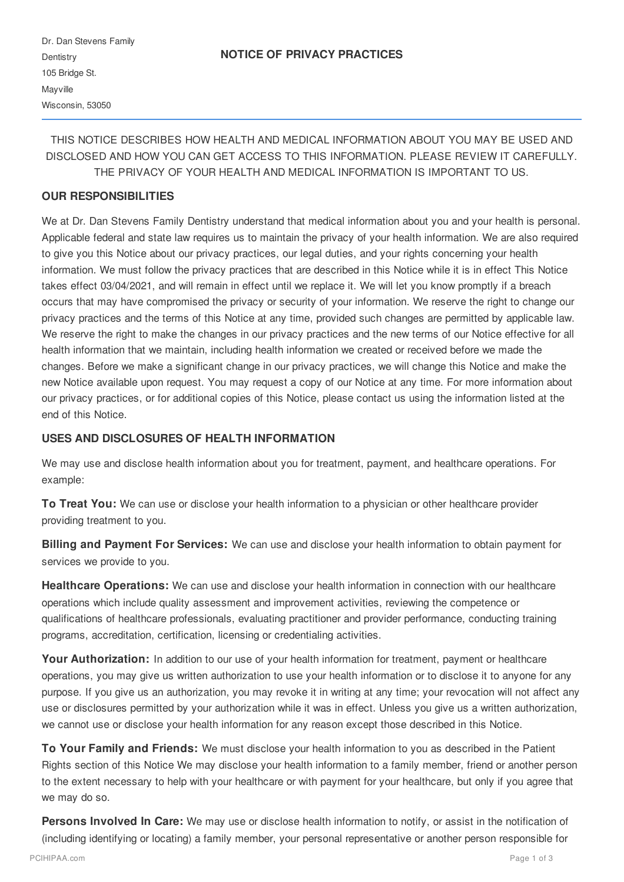THIS NOTICE DESCRIBES HOW HEALTH AND MEDICAL INFORMATION ABOUT YOU MAY BE USED AND DISCLOSED AND HOW YOU CAN GET ACCESS TO THIS INFORMATION. PLEASE REVIEW IT CAREFULLY. THE PRIVACY OF YOUR HEALTH AND MEDICAL INFORMATION IS IMPORTANT TO US.

## **OUR RESPONSIBILITIES**

We at Dr. Dan Stevens Family Dentistry understand that medical information about you and your health is personal. Applicable federal and state law requires us to maintain the privacy of your health information. We are also required to give you this Notice about our privacy practices, our legal duties, and your rights concerning your health information. We must follow the privacy practices that are described in this Notice while it is in effect This Notice takes effect 03/04/2021, and will remain in effect until we replace it. We will let you know promptly if a breach occurs that may have compromised the privacy or security of your information. We reserve the right to change our privacy practices and the terms of this Notice at any time, provided such changes are permitted by applicable law. We reserve the right to make the changes in our privacy practices and the new terms of our Notice effective for all health information that we maintain, including health information we created or received before we made the changes. Before we make a significant change in our privacy practices, we will change this Notice and make the new Notice available upon request. You may request a copy of our Notice at any time. For more information about our privacy practices, or for additional copies of this Notice, please contact us using the information listed at the end of this Notice.

## **USES AND DISCLOSURES OF HEALTH INFORMATION**

We may use and disclose health information about you for treatment, payment, and healthcare operations. For example:

**To Treat You:** We can use or disclose your health information to a physician or other healthcare provider providing treatment to you.

**Billing and Payment For Services:** We can use and disclose your health information to obtain payment for services we provide to you.

**Healthcare Operations:** We can use and disclose your health information in connection with our healthcare operations which include quality assessment and improvement activities, reviewing the competence or qualifications of healthcare professionals, evaluating practitioner and provider performance, conducting training programs, accreditation, certification, licensing or credentialing activities.

Your **Authorization:** In addition to our use of your health information for treatment, payment or healthcare operations, you may give us written authorization to use your health information or to disclose it to anyone for any purpose. If you give us an authorization, you may revoke it in writing at any time; your revocation will not affect any use or disclosures permitted by your authorization while it was in effect. Unless you give us a written authorization, we cannot use or disclose your health information for any reason except those described in this Notice.

**To Your Family and Friends:** We must disclose your health information to you as described in the Patient Rights section of this Notice We may disclose your health information to a family member, friend or another person to the extent necessary to help with your healthcare or with payment for your healthcare, but only if you agree that we may do so.

**Persons Involved In Care:** We may use or disclose health information to notify, or assist in the notification of (including identifying or locating) a family member, your personal representative or another person responsible for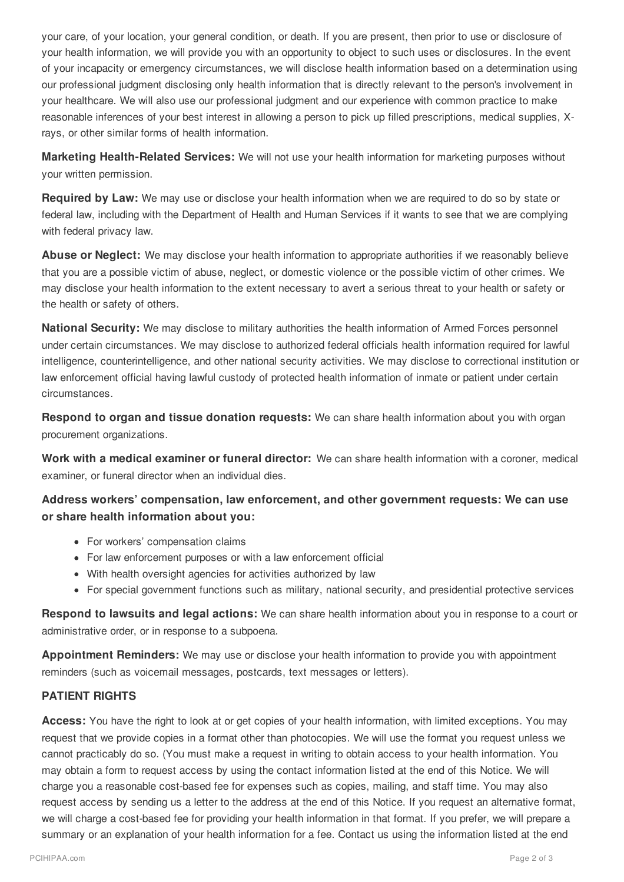your care, of your location, your general condition, or death. If you are present, then prior to use or disclosure of your health information, we will provide you with an opportunity to object to such uses or disclosures. In the event of your incapacity or emergency circumstances, we will disclose health information based on a determination using our professional judgment disclosing only health information that is directly relevant to the person's involvement in your healthcare. We will also use our professional judgment and our experience with common practice to make reasonable inferences of your best interest in allowing a person to pick up filled prescriptions, medical supplies, Xrays, or other similar forms of health information.

**Marketing Health-Related Services:** We will not use your health information for marketing purposes without your written permission.

**Required by Law:** We may use or disclose your health information when we are required to do so by state or federal law, including with the Department of Health and Human Services if it wants to see that we are complying with federal privacy law.

**Abuse or Neglect:** We may disclose your health information to appropriate authorities if we reasonably believe that you are a possible victim of abuse, neglect, or domestic violence or the possible victim of other crimes. We may disclose your health information to the extent necessary to avert a serious threat to your health or safety or the health or safety of others.

**National Security:** We may disclose to military authorities the health information of Armed Forces personnel under certain circumstances. We may disclose to authorized federal officials health information required for lawful intelligence, counterintelligence, and other national security activities. We may disclose to correctional institution or law enforcement official having lawful custody of protected health information of inmate or patient under certain circumstances.

**Respond to organ and tissue donation requests:** We can share health information about you with organ procurement organizations.

**Work with a medical examiner or funeral director:** We can share health information with a coroner, medical examiner, or funeral director when an individual dies.

**Address workers' compensation, law enforcement, and other government requests: We can use or share health information about you:**

- For workers' compensation claims
- For law enforcement purposes or with a law enforcement official
- With health oversight agencies for activities authorized by law
- For special government functions such as military, national security, and presidential protective services

**Respond to lawsuits and legal actions:** We can share health information about you in response to a court or administrative order, or in response to a subpoena.

**Appointment Reminders:** We may use or disclose your health information to provide you with appointment reminders (such as voicemail messages, postcards, text messages or letters).

## **PATIENT RIGHTS**

**Access:** You have the right to look at or get copies of your health information, with limited exceptions. You may request that we provide copies in a format other than photocopies. We will use the format you request unless we cannot practicably do so. (You must make a request in writing to obtain access to your health information. You may obtain a form to request access by using the contact information listed at the end of this Notice. We will charge you a reasonable cost-based fee for expenses such as copies, mailing, and staff time. You may also request access by sending us a letter to the address at the end of this Notice. If you request an alternative format, we will charge a cost-based fee for providing your health information in that format. If you prefer, we will prepare a summary or an explanation of your health information for a fee. Contact us using the information listed at the end